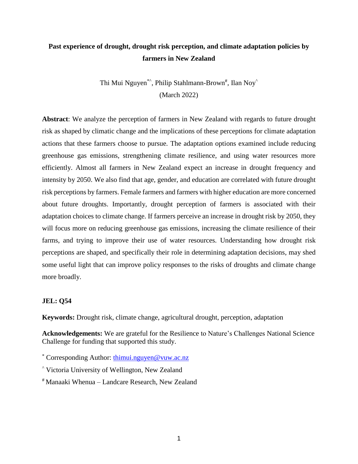# **Past experience of drought, drought risk perception, and climate adaptation policies by farmers in New Zealand**

Thi Mui Nguyen\*^, Philip Stahlmann-Brown#, Ilan Noy^ (March 2022)

**Abstract**: We analyze the perception of farmers in New Zealand with regards to future drought risk as shaped by climatic change and the implications of these perceptions for climate adaptation actions that these farmers choose to pursue. The adaptation options examined include reducing greenhouse gas emissions, strengthening climate resilience, and using water resources more efficiently. Almost all farmers in New Zealand expect an increase in drought frequency and intensity by 2050. We also find that age, gender, and education are correlated with future drought risk perceptions by farmers. Female farmers and farmers with higher education are more concerned about future droughts. Importantly, drought perception of farmers is associated with their adaptation choices to climate change. If farmers perceive an increase in drought risk by 2050, they will focus more on reducing greenhouse gas emissions, increasing the climate resilience of their farms, and trying to improve their use of water resources. Understanding how drought risk perceptions are shaped, and specifically their role in determining adaptation decisions, may shed some useful light that can improve policy responses to the risks of droughts and climate change more broadly.

# **JEL: Q54**

**Keywords:** Drought risk, climate change, agricultural drought, perception, adaptation

**Acknowledgements:** We are grateful for the Resilience to Nature's Challenges National Science Challenge for funding that supported this study.

- \* Corresponding Author: [thimui.nguyen@vuw.ac.nz](mailto:thimui.nguyen@vuw.ac.nz)
- ^ Victoria University of Wellington, New Zealand
- # Manaaki Whenua Landcare Research, New Zealand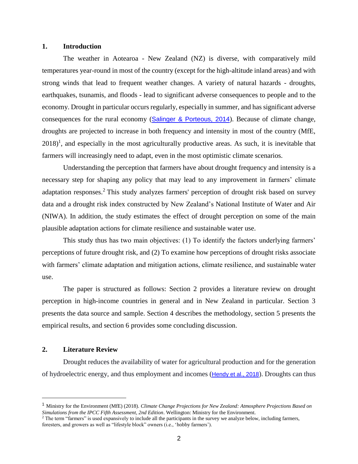### **1. Introduction**

The weather in Aotearoa - New Zealand (NZ) is diverse, with comparatively mild temperatures year-round in most of the country (except for the high-altitude inland areas) and with strong winds that lead to frequent weather changes. A variety of natural hazards - droughts, earthquakes, tsunamis, and floods - lead to significant adverse consequences to people and to the economy. Drought in particular occurs regularly, especially in summer, and has significant adverse consequences for the rural economy ([Salinger & Porteous, 2014](#page-24-0)). Because of climate change, droughts are projected to increase in both frequency and intensity in most of the country (MfE,  $2018$ <sup>1</sup>, and especially in the most agriculturally productive areas. As such, it is inevitable that farmers will increasingly need to adapt, even in the most optimistic climate scenarios.

Understanding the perception that farmers have about drought frequency and intensity is a necessary step for shaping any policy that may lead to any improvement in farmers' climate adaptation responses.<sup>2</sup> This study analyzes farmers' perception of drought risk based on survey data and a drought risk index constructed by New Zealand's National Institute of Water and Air (NIWA). In addition, the study estimates the effect of drought perception on some of the main plausible adaptation actions for climate resilience and sustainable water use.

This study thus has two main objectives: (1) To identify the factors underlying farmers' perceptions of future drought risk, and (2) To examine how perceptions of drought risks associate with farmers' climate adaptation and mitigation actions, climate resilience, and sustainable water use.

The paper is structured as follows: Section 2 provides a literature review on drought perception in high-income countries in general and in New Zealand in particular. Section 3 presents the data source and sample. Section 4 describes the methodology, section 5 presents the empirical results, and section 6 provides some concluding discussion.

## **2. Literature Review**

Drought reduces the availability of water for agricultural production and for the generation of hydroelectric energy, and thus employment and incomes ([Hendy et al., 2018](#page-23-0)). Droughts can thus

<sup>1</sup> Ministry for the Environment (MfE) (2018). *Climate Change Projections for New Zealand: Atmosphere Projections Based on Simulations from the IPCC Fifth Assessment, 2nd Edition*. Wellington: Ministry for the Environment.

<sup>&</sup>lt;sup>2</sup> The term "farmers" is used expansively to include all the participants in the survey we analyze below, including farmers, foresters, and growers as well as "lifestyle block" owners (i.e., 'hobby farmers').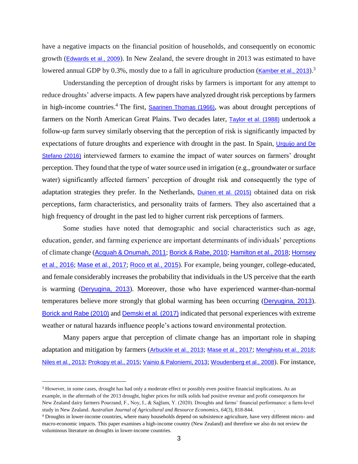have a negative impacts on the financial position of households, and consequently on economic growth ([Edwards et al., 2009](#page-23-1)). In New Zealand, the severe drought in 2013 was estimated to have lowered annual GDP by 0.3%, mostly due to a fall in agriculture production ([Kamber et al.,](#page-23-2) 2013).<sup>3</sup>

Understanding the perception of drought risks by farmers is important for any attempt to reduce droughts' adverse impacts. A few papers have analyzed drought risk perceptions by farmers in high-income countries.<sup>4</sup> The first, [Saarinen Thomas \(1966\)](#page-24-1), was about drought perceptions of farmers on the North American Great Plains. Two decades later, [Taylor et al. \(1988\)](#page-24-2) undertook a follow-up farm survey similarly observing that the perception of risk is significantly impacted by expectations of future droughts and experience with drought in the past. In Spain, *Urquijo* and De Stefano (2016) interviewed farmers to examine the impact of water sources on farmers' drought perception. They found that the type of water source used in irrigation (e.g., groundwater or surface water) significantly affected farmers' perception of drought risk and consequently the type of adaptation strategies they prefer. In the Netherlands, [Duinen et al. \(2015\)](#page-23-3) obtained data on risk perceptions, farm characteristics, and personality traits of farmers. They also ascertained that a high frequency of drought in the past led to higher current risk perceptions of farmers.

Some studies have noted that demographic and social characteristics such as age, education, gender, and farming experience are important determinants of individuals' perceptions of climate change ([Acquah & Onumah, 2011](#page-23-4); [Borick & Rabe, 2010](#page-23-5); [Hamilton et al., 2018](#page-23-6); [Hornsey](#page-23-7)  [et al., 2016](#page-23-7); [Mase et al., 2017](#page-23-8); [Roco et al., 2015](#page-24-4)). For example, being younger, college-educated, and female considerably increases the probability that individuals in the US perceive that the earth is warming ([Deryugina, 2013](#page-23-9)). Moreover, those who have experienced warmer-than-normal temperatures believe more strongly that global warming has been occurring ([Deryugina, 2013](#page-23-9)). [Borick and Rabe \(2010\)](#page-23-5) and [Demski et al. \(2017\)](#page-23-10) indicated that personal experiences with extreme weather or natural hazards influence people's actions toward environmental protection.

Many papers argue that perception of climate change has an important role in shaping adaptation and mitigation by farmers ([Arbuckle et al., 2013](#page-23-11); [Mase et al., 2017](#page-23-8); [Menghistu et al., 2018](#page-23-12); [Niles et al., 2013](#page-24-5); [Prokopy et al., 2015](#page-24-6); [Vainio & Paloniemi, 2013](#page-24-7); [Woudenberg et al., 2008](#page-24-8)). For instance,

<sup>3</sup> However, in some cases, drought has had only a moderate effect or possibly even positive financial implications. As an example, in the aftermath of the 2013 drought, higher prices for milk solids had positive revenue and profit consequences for New Zealand dairy farmers Pourzand, F., Noy, I., & Sağlam, Y. (2020). Droughts and farms' financial performance: a farm‐level study in New Zealand. *Australian Journal of Agricultural and Resource Economics*, *64*(3), 818-844. .

<sup>4</sup> Droughts in lower-income countries, where many households depend on subsistence agriculture, have very different micro- and macro-economic impacts. This paper examines a high-income country (New Zealand) and therefore we also do not review the voluminous literature on droughts in lower-income countries.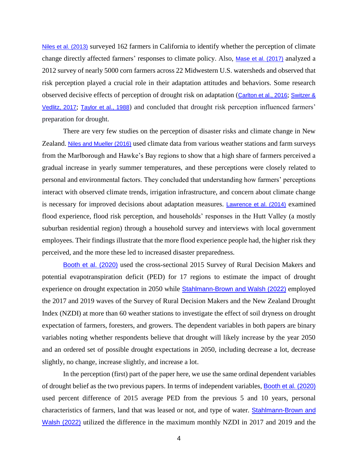[Niles et al. \(2013\)](#page-24-5) surveyed 162 farmers in California to identify whether the perception of climate change directly affected farmers' responses to climate policy. Also, [Mase et al. \(2017\)](#page-23-8) analyzed a 2012 survey of nearly 5000 corn farmers across 22 Midwestern U.S. watersheds and observed that risk perception played a crucial role in their adaptation attitudes and behaviors. Some research observed decisive effects of perception of drought risk on adaptation ([Carlton et al., 2016](#page-23-13); [Switzer &](#page-24-9)  [Vedlitz, 2017](#page-24-9); [Taylor et al., 1988](#page-24-2)) and concluded that drought risk perception influenced farmers' preparation for drought.

There are very few studies on the perception of disaster risks and climate change in New Zealand. [Niles and Mueller \(2016\)](#page-24-10) used climate data from various weather stations and farm surveys from the Marlborough and Hawke's Bay regions to show that a high share of farmers perceived a gradual increase in yearly summer temperatures, and these perceptions were closely related to personal and environmental factors. They concluded that understanding how farmers' perceptions interact with observed climate trends, irrigation infrastructure, and concern about climate change is necessary for improved decisions about adaptation measures. [Lawrence et al. \(2014\)](#page-23-14) examined flood experience, flood risk perception, and households' responses in the Hutt Valley (a mostly suburban residential region) through a household survey and interviews with local government employees. Their findings illustrate that the more flood experience people had, the higher risk they perceived, and the more these led to increased disaster preparedness.

[Booth et al. \(2020\)](#page-23-15) used the cross-sectional 2015 Survey of Rural Decision Makers and potential evapotranspiration deficit (PED) for 17 regions to estimate the impact of drought experience on drought expectation in 2050 while **[Stahlmann-Brown and Walsh \(2022\)](#page-24-11)** employed the 2017 and 2019 waves of the Survey of Rural Decision Makers and the New Zealand Drought Index (NZDI) at more than 60 weather stations to investigate the effect of soil dryness on drought expectation of farmers, foresters, and growers. The dependent variables in both papers are binary variables noting whether respondents believe that drought will likely increase by the year 2050 and an ordered set of possible drought expectations in 2050, including decrease a lot, decrease slightly, no change, increase slightly, and increase a lot.

In the perception (first) part of the paper here, we use the same ordinal dependent variables of drought belief as the two previous papers. In terms of independent variables, [Booth et al. \(2020\)](#page-23-15) used percent difference of 2015 average PED from the previous 5 and 10 years, personal characteristics of farmers, land that was leased or not, and type of water. [Stahlmann-Brown and](#page-24-11)  Walsh (2022) utilized the difference in the maximum monthly NZDI in 2017 and 2019 and the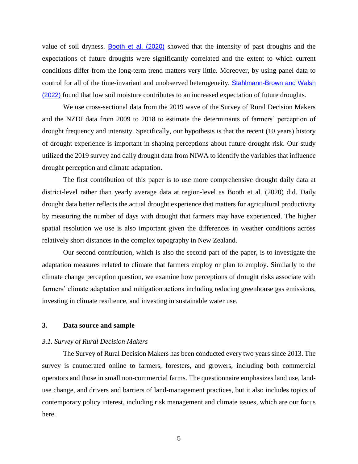value of soil dryness. [Booth et al. \(2020\)](#page-23-15) showed that the intensity of past droughts and the expectations of future droughts were significantly correlated and the extent to which current conditions differ from the long-term trend matters very little. Moreover, by using panel data to control for all of the time-invariant and unobserved heterogeneity, [Stahlmann-Brown and Walsh](#page-24-11)  (2022) found that low soil moisture contributes to an increased expectation of future droughts.

We use cross-sectional data from the 2019 wave of the Survey of Rural Decision Makers and the NZDI data from 2009 to 2018 to estimate the determinants of farmers' perception of drought frequency and intensity. Specifically, our hypothesis is that the recent (10 years) history of drought experience is important in shaping perceptions about future drought risk. Our study utilized the 2019 survey and daily drought data from NIWA to identify the variables that influence drought perception and climate adaptation.

The first contribution of this paper is to use more comprehensive drought daily data at district-level rather than yearly average data at region-level as Booth et al. (2020) did. Daily drought data better reflects the actual drought experience that matters for agricultural productivity by measuring the number of days with drought that farmers may have experienced. The higher spatial resolution we use is also important given the differences in weather conditions across relatively short distances in the complex topography in New Zealand.

Our second contribution, which is also the second part of the paper, is to investigate the adaptation measures related to climate that farmers employ or plan to employ. Similarly to the climate change perception question, we examine how perceptions of drought risks associate with farmers' climate adaptation and mitigation actions including reducing greenhouse gas emissions, investing in climate resilience, and investing in sustainable water use.

## **3. Data source and sample**

### *3.1. Survey of Rural Decision Makers*

The Survey of Rural Decision Makers has been conducted every two years since 2013. The survey is enumerated online to farmers, foresters, and growers, including both commercial operators and those in small non-commercial farms. The questionnaire emphasizes land use, landuse change, and drivers and barriers of land-management practices, but it also includes topics of contemporary policy interest, including risk management and climate issues, which are our focus here.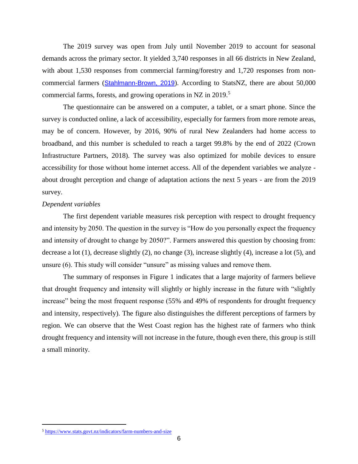The 2019 survey was open from July until November 2019 to account for seasonal demands across the primary sector. It yielded 3,740 responses in all 66 districts in New Zealand, with about 1,530 responses from commercial farming/forestry and 1,720 responses from noncommercial farmers ([Stahlmann-Brown, 2019](#page-24-12)). According to StatsNZ, there are about 50,000 commercial farms, forests, and growing operations in NZ in 2019.<sup>5</sup>

The questionnaire can be answered on a computer, a tablet, or a smart phone. Since the survey is conducted online, a lack of accessibility, especially for farmers from more remote areas, may be of concern. However, by 2016, 90% of rural New Zealanders had home access to broadband, and this number is scheduled to reach a target 99.8% by the end of 2022 (Crown Infrastructure Partners, 2018). The survey was also optimized for mobile devices to ensure accessibility for those without home internet access. All of the dependent variables we analyze about drought perception and change of adaptation actions the next 5 years - are from the 2019 survey.

### *Dependent variables*

The first dependent variable measures risk perception with respect to drought frequency and intensity by 2050. The question in the survey is "How do you personally expect the frequency and intensity of drought to change by 2050?". Farmers answered this question by choosing from: decrease a lot (1), decrease slightly (2), no change (3), increase slightly (4), increase a lot (5), and unsure (6). This study will consider "unsure" as missing values and remove them.

The summary of responses in Figure 1 indicates that a large majority of farmers believe that drought frequency and intensity will slightly or highly increase in the future with "slightly increase" being the most frequent response (55% and 49% of respondents for drought frequency and intensity, respectively). The figure also distinguishes the different perceptions of farmers by region. We can observe that the West Coast region has the highest rate of farmers who think drought frequency and intensity will not increase in the future, though even there, this group is still a small minority.

 $\overline{a}$ 

<sup>5</sup> <https://www.stats.govt.nz/indicators/farm-numbers-and-size>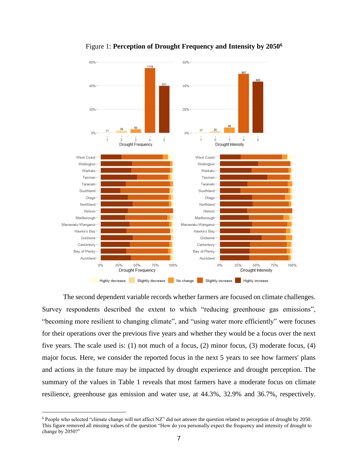

Figure 1: **Perception of Drought Frequency and Intensity by 2050<sup>6</sup>**

The second dependent variable records whether farmers are focused on climate challenges. Survey respondents described the extent to which "reducing greenhouse gas emissions", "becoming more resilient to changing climate", and "using water more efficiently" were focuses for their operations over the previous five years and whether they would be a focus over the next five years. The scale used is: (1) not much of a focus, (2) minor focus, (3) moderate focus, (4) major focus. Here, we consider the reported focus in the next 5 years to see how farmers' plans and actions in the future may be impacted by drought experience and drought perception. The summary of the values in Table 1 reveals that most farmers have a moderate focus on climate resilience, greenhouse gas emission and water use, at 44.3%, 32.9% and 36.7%, respectively.

 $\overline{a}$ 

 $6$  People who selected "climate change will not affect NZ" did not answer the question related to perception of drought by 2050. This figure removed all missing values of the question "How do you personally expect the frequency and intensity of drought to change by 2050?"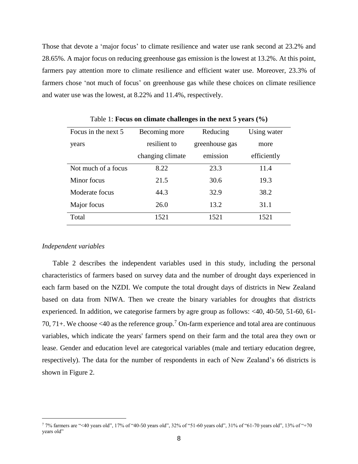Those that devote a 'major focus' to climate resilience and water use rank second at 23.2% and 28.65%. A major focus on reducing greenhouse gas emission is the lowest at 13.2%. At this point, farmers pay attention more to climate resilience and efficient water use. Moreover, 23.3% of farmers chose 'not much of focus' on greenhouse gas while these choices on climate resilience and water use was the lowest, at 8.22% and 11.4%, respectively.

| Focus in the next 5 | Becoming more    | Reducing       | Using water |  |  |
|---------------------|------------------|----------------|-------------|--|--|
| years               | resilient to     | greenhouse gas | more        |  |  |
|                     | changing climate | emission       | efficiently |  |  |
| Not much of a focus | 8.22             | 23.3           | 11.4        |  |  |
| Minor focus         | 21.5             | 30.6           | 19.3        |  |  |
| Moderate focus      | 44.3             | 32.9           | 38.2        |  |  |
| Major focus         | 26.0             | 13.2           | 31.1        |  |  |
| Total               | 1521             | 1521           | 1521        |  |  |

Table 1: **Focus on climate challenges in the next 5 years (%)**

#### *Independent variables*

Table 2 describes the independent variables used in this study, including the personal characteristics of farmers based on survey data and the number of drought days experienced in each farm based on the NZDI. We compute the total drought days of districts in New Zealand based on data from NIWA. Then we create the binary variables for droughts that districts experienced. In addition, we categorise farmers by agre group as follows: <40, 40-50, 51-60, 61- 70, 71+. We choose <40 as the reference group.<sup>7</sup> On-farm experience and total area are continuous variables, which indicate the years' farmers spend on their farm and the total area they own or lease. Gender and education level are categorical variables (male and tertiary education degree, respectively). The data for the number of respondents in each of New Zealand's 66 districts is shown in Figure 2.

<sup>7</sup> 7% farmers are "<40 years old", 17% of "40-50 years old", 32% of "51-60 years old", 31% of "61-70 years old", 13% of "+70 years old"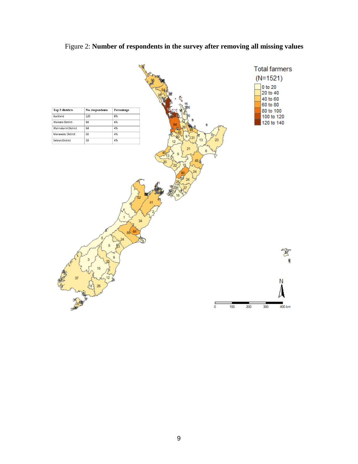

# Figure 2: **Number of respondents in the survey after removing all missing values**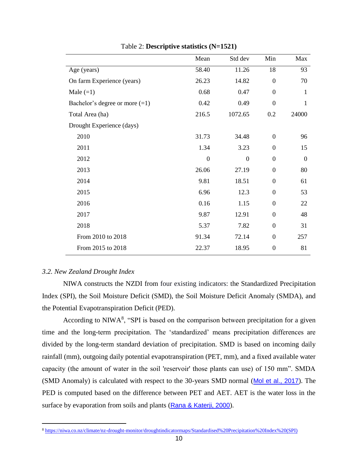|                                  | Mean             | Std dev          | Min              | Max          |
|----------------------------------|------------------|------------------|------------------|--------------|
| Age (years)                      | 58.40            | 11.26            | 18               | 93           |
| On farm Experience (years)       | 26.23            | 14.82            | $\theta$         | 70           |
| Male $(=1)$                      | 0.68             | 0.47             | $\mathbf{0}$     | $\mathbf{1}$ |
| Bachelor's degree or more $(=1)$ | 0.42             | 0.49             | $\overline{0}$   | 1            |
| Total Area (ha)                  | 216.5            | 1072.65          | 0.2              | 24000        |
| Drought Experience (days)        |                  |                  |                  |              |
| 2010                             | 31.73            | 34.48            | $\theta$         | 96           |
| 2011                             | 1.34             | 3.23             | $\boldsymbol{0}$ | 15           |
| 2012                             | $\boldsymbol{0}$ | $\boldsymbol{0}$ | $\boldsymbol{0}$ | $\mathbf{0}$ |
| 2013                             | 26.06            | 27.19            | $\boldsymbol{0}$ | 80           |
| 2014                             | 9.81             | 18.51            | $\boldsymbol{0}$ | 61           |
| 2015                             | 6.96             | 12.3             | $\boldsymbol{0}$ | 53           |
| 2016                             | 0.16             | 1.15             | $\boldsymbol{0}$ | 22           |
| 2017                             | 9.87             | 12.91            | $\boldsymbol{0}$ | 48           |
| 2018                             | 5.37             | 7.82             | $\boldsymbol{0}$ | 31           |
| From 2010 to 2018                | 91.34            | 72.14            | $\boldsymbol{0}$ | 257          |
| From 2015 to 2018                | 22.37            | 18.95            | $\boldsymbol{0}$ | 81           |

Table 2: **Descriptive statistics (N=1521)**

# *3.2. New Zealand Drought Index*

NIWA constructs the NZDI from four existing indicators: the Standardized Precipitation Index (SPI), the Soil Moisture Deficit (SMD), the Soil Moisture Deficit Anomaly (SMDA), and the Potential Evapotranspiration Deficit (PED).

According to NIWA $<sup>8</sup>$ , "SPI is based on the comparison between precipitation for a given</sup> time and the long-term precipitation. The 'standardized' means precipitation differences are divided by the long-term standard deviation of precipitation. SMD is based on incoming daily rainfall (mm), outgoing daily potential evapotranspiration (PET, mm), and a fixed available water capacity (the amount of water in the soil 'reservoir' those plants can use) of 150 mm". SMDA (SMD Anomaly) is calculated with respect to the 30-years SMD normal ([Mol et al., 2017](#page-24-13)). The PED is computed based on the difference between PET and AET. AET is the water loss in the surface by evaporation from soils and plants ([Rana & Katerji, 2000](#page-24-14)).

<sup>8</sup> [https://niwa.co.nz/climate/nz-drought-monitor/droughtindicatormaps/Standardised%20Precipitation%20Index%20\(SPI\)](https://niwa.co.nz/climate/nz-drought-monitor/droughtindicatormaps/Standardised%20Precipitation%20Index%20(SPI))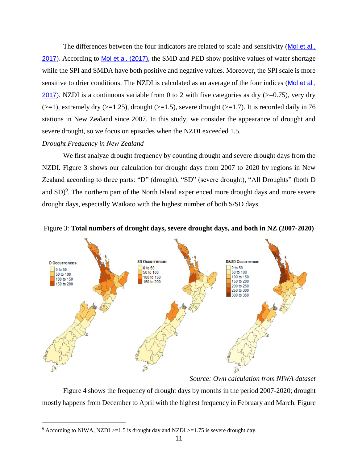The differences between the four indicators are related to scale and sensitivity (Mol et al., [2017](#page-24-13)). According to [Mol et al. \(2017\)](#page-24-13), the SMD and PED show positive values of water shortage while the SPI and SMDA have both positive and negative values. Moreover, the SPI scale is more sensitive to drier conditions. The NZDI is calculated as an average of the four indices ([Mol et al.,](#page-24-13)  [2017](#page-24-13)). NZDI is a continuous variable from 0 to 2 with five categories as dry  $(>=0.75)$ , very dry  $(>=1)$ , extremely dry  $(>=1.25)$ , drought  $(>=1.5)$ , severe drought  $(>=1.7)$ . It is recorded daily in 76 stations in New Zealand since 2007. In this study, we consider the appearance of drought and severe drought, so we focus on episodes when the NZDI exceeded 1.5.

# *Drought Frequency in New Zealand*

 $\overline{a}$ 

We first analyze drought frequency by counting drought and severe drought days from the NZDI. Figure 3 shows our calculation for drought days from 2007 to 2020 by regions in New Zealand according to three parts: "D" (drought), "SD" (severe drought), "All Droughts" (both D and  $SD$ <sup>9</sup>. The northern part of the North Island experienced more drought days and more severe drought days, especially Waikato with the highest number of both S/SD days.





*Source: Own calculation from NIWA dataset*

Figure 4 shows the frequency of drought days by months in the period 2007-2020; drought mostly happens from December to April with the highest frequency in February and March. Figure

<sup>&</sup>lt;sup>9</sup> According to NIWA, NZDI >=1.5 is drought day and NZDI >=1.75 is severe drought day.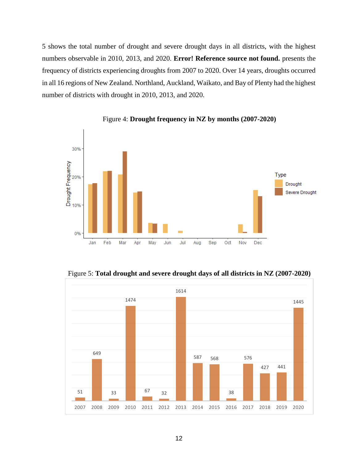shows the total number of drought and severe drought days in all districts, with the highest numbers observable in 2010, 2013, and 2020. **Error! Reference source not found.** presents the frequency of districts experiencing droughts from 2007 to 2020. Over 14 years, droughts occurred in all 16 regions of New Zealand. Northland, Auckland, Waikato, and Bay of Plenty had the highest number of districts with drought in 2010, 2013, and 2020.



Figure 4: **Drought frequency in NZ by months (2007-2020)**

Figure 5: **Total drought and severe drought days of all districts in NZ (2007-2020)**

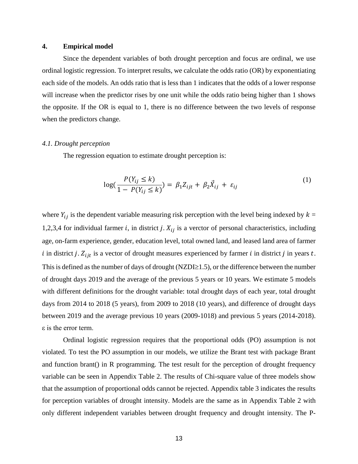### **4. Empirical model**

Since the dependent variables of both drought perception and focus are ordinal, we use ordinal logistic regression. To interpret results, we calculate the odds ratio (OR) by exponentiating each side of the models. An odds ratio that is less than 1 indicates that the odds of a lower response will increase when the predictor rises by one unit while the odds ratio being higher than 1 shows the opposite. If the OR is equal to 1, there is no difference between the two levels of response when the predictors change.

### *4.1. Drought perception*

The regression equation to estimate drought perception is:

$$
\log(\frac{P(Y_{ij} \le k)}{1 - P(Y_{ij} \le k)}) = \beta_1 Z_{ijt} + \beta_2 \vec{X}_{ij} + \varepsilon_{ij}
$$
 (1)

where  $Y_{ij}$  is the dependent variable measuring risk perception with the level being indexed by  $k =$ 1,2,3,4 for individual farmer *i*, in district *j*.  $X_{ij}$  is a verctor of personal characteristics, including age, on-farm experience, gender, education level, total owned land, and leased land area of farmer i in district j.  $Z_{ijt}$  is a vector of drought measures experienced by farmer i in district j in years t. This is defined as the number of days of drought (NZDI $\geq$ 1.5), or the difference between the number of drought days 2019 and the average of the previous 5 years or 10 years. We estimate 5 models with different definitions for the drought variable: total drought days of each year, total drought days from 2014 to 2018 (5 years), from 2009 to 2018 (10 years), and difference of drought days between 2019 and the average previous 10 years (2009-1018) and previous 5 years (2014-2018). ε is the error term.

Ordinal logistic regression requires that the proportional odds (PO) assumption is not violated. To test the PO assumption in our models, we utilize the Brant test with package Brant and function brant() in R programming. The test result for the perception of drought frequency variable can be seen in Appendix Table 2. The results of Chi-square value of three models show that the assumption of proportional odds cannot be rejected. Appendix table 3 indicates the results for perception variables of drought intensity. Models are the same as in Appendix Table 2 with only different independent variables between drought frequency and drought intensity. The P-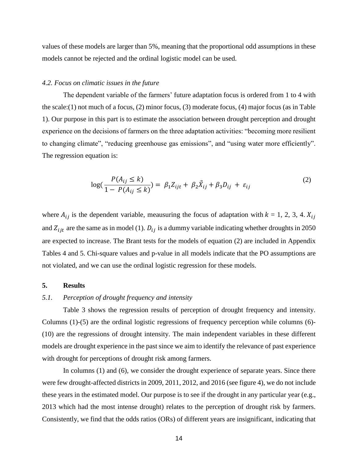values of these models are larger than 5%, meaning that the proportional odd assumptions in these models cannot be rejected and the ordinal logistic model can be used.

#### *4.2. Focus on climatic issues in the future*

The dependent variable of the farmers' future adaptation focus is ordered from 1 to 4 with the scale:(1) not much of a focus, (2) minor focus, (3) moderate focus, (4) major focus (as in Table 1). Our purpose in this part is to estimate the association between drought perception and drought experience on the decisions of farmers on the three adaptation activities: "becoming more resilient to changing climate", "reducing greenhouse gas emissions", and "using water more efficiently". The regression equation is:

$$
\log(\frac{P(A_{ij} \le k)}{1 - P(A_{ij} \le k)}) = \beta_1 Z_{ijt} + \beta_2 \vec{X}_{ij} + \beta_3 D_{ij} + \varepsilon_{ij}
$$
(2)

where  $A_{ij}$  is the dependent variable, meausuring the focus of adaptation with  $k = 1, 2, 3, 4$ .  $X_{ij}$ and  $Z_{ijt}$  are the same as in model (1).  $D_{ij}$  is a dummy variable indicating whether droughts in 2050 are expected to increase. The Brant tests for the models of equation (2) are included in Appendix Tables 4 and 5. Chi-square values and p-value in all models indicate that the PO assumptions are not violated, and we can use the ordinal logistic regression for these models.

#### **5. Results**

### *5.1. Perception of drought frequency and intensity*

Table 3 shows the regression results of perception of drought frequency and intensity. Columns (1)-(5) are the ordinal logistic regressions of frequency perception while columns (6)- (10) are the regressions of drought intensity. The main independent variables in these different models are drought experience in the past since we aim to identify the relevance of past experience with drought for perceptions of drought risk among farmers.

In columns (1) and (6), we consider the drought experience of separate years. Since there were few drought-affected districts in 2009, 2011, 2012, and 2016 (see figure 4), we do not include these years in the estimated model. Our purpose is to see if the drought in any particular year (e.g., 2013 which had the most intense drought) relates to the perception of drought risk by farmers. Consistently, we find that the odds ratios (ORs) of different years are insignificant, indicating that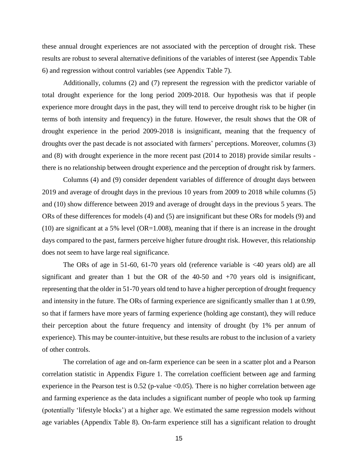these annual drought experiences are not associated with the perception of drought risk. These results are robust to several alternative definitions of the variables of interest (see Appendix Table 6) and regression without control variables (see Appendix Table 7).

Additionally, columns (2) and (7) represent the regression with the predictor variable of total drought experience for the long period 2009-2018. Our hypothesis was that if people experience more drought days in the past, they will tend to perceive drought risk to be higher (in terms of both intensity and frequency) in the future. However, the result shows that the OR of drought experience in the period 2009-2018 is insignificant, meaning that the frequency of droughts over the past decade is not associated with farmers' perceptions. Moreover, columns (3) and (8) with drought experience in the more recent past (2014 to 2018) provide similar results there is no relationship between drought experience and the perception of drought risk by farmers.

Columns (4) and (9) consider dependent variables of difference of drought days between 2019 and average of drought days in the previous 10 years from 2009 to 2018 while columns (5) and (10) show difference between 2019 and average of drought days in the previous 5 years. The ORs of these differences for models (4) and (5) are insignificant but these ORs for models (9) and  $(10)$  are significant at a 5% level  $(OR=1.008)$ , meaning that if there is an increase in the drought days compared to the past, farmers perceive higher future drought risk. However, this relationship does not seem to have large real significance.

The ORs of age in 51-60, 61-70 years old (reference variable is <40 years old) are all significant and greater than 1 but the OR of the 40-50 and +70 years old is insignificant, representing that the older in 51-70 years old tend to have a higher perception of drought frequency and intensity in the future. The ORs of farming experience are significantly smaller than 1 at 0.99, so that if farmers have more years of farming experience (holding age constant), they will reduce their perception about the future frequency and intensity of drought (by 1% per annum of experience). This may be counter-intuitive, but these results are robust to the inclusion of a variety of other controls.

The correlation of age and on-farm experience can be seen in a scatter plot and a Pearson correlation statistic in Appendix Figure 1. The correlation coefficient between age and farming experience in the Pearson test is  $0.52$  (p-value <0.05). There is no higher correlation between age and farming experience as the data includes a significant number of people who took up farming (potentially 'lifestyle blocks') at a higher age. We estimated the same regression models without age variables (Appendix Table 8). On-farm experience still has a significant relation to drought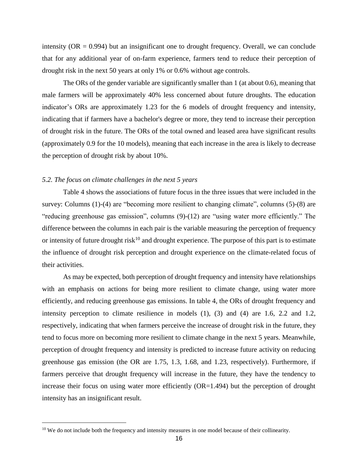intensity ( $OR = 0.994$ ) but an insignificant one to drought frequency. Overall, we can conclude that for any additional year of on-farm experience, farmers tend to reduce their perception of drought risk in the next 50 years at only 1% or 0.6% without age controls.

The ORs of the gender variable are significantly smaller than 1 (at about 0.6), meaning that male farmers will be approximately 40% less concerned about future droughts. The education indicator's ORs are approximately 1.23 for the 6 models of drought frequency and intensity, indicating that if farmers have a bachelor's degree or more, they tend to increase their perception of drought risk in the future. The ORs of the total owned and leased area have significant results (approximately 0.9 for the 10 models), meaning that each increase in the area is likely to decrease the perception of drought risk by about 10%.

#### *5.2. The focus on climate challenges in the next 5 years*

Table 4 shows the associations of future focus in the three issues that were included in the survey: Columns (1)-(4) are "becoming more resilient to changing climate", columns (5)-(8) are "reducing greenhouse gas emission", columns (9)-(12) are "using water more efficiently." The difference between the columns in each pair is the variable measuring the perception of frequency or intensity of future drought risk<sup>10</sup> and drought experience. The purpose of this part is to estimate the influence of drought risk perception and drought experience on the climate-related focus of their activities.

As may be expected, both perception of drought frequency and intensity have relationships with an emphasis on actions for being more resilient to climate change, using water more efficiently, and reducing greenhouse gas emissions. In table 4, the ORs of drought frequency and intensity perception to climate resilience in models (1), (3) and (4) are 1.6, 2.2 and 1.2, respectively, indicating that when farmers perceive the increase of drought risk in the future, they tend to focus more on becoming more resilient to climate change in the next 5 years. Meanwhile, perception of drought frequency and intensity is predicted to increase future activity on reducing greenhouse gas emission (the OR are 1.75, 1.3, 1.68, and 1.23, respectively). Furthermore, if farmers perceive that drought frequency will increase in the future, they have the tendency to increase their focus on using water more efficiently (OR=1.494) but the perception of drought intensity has an insignificant result.

 $\overline{a}$ 

<sup>&</sup>lt;sup>10</sup> We do not include both the frequency and intensity measures in one model because of their collinearity.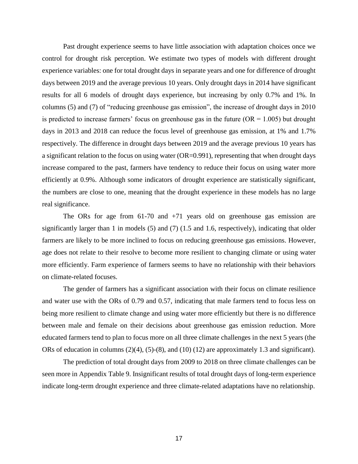Past drought experience seems to have little association with adaptation choices once we control for drought risk perception. We estimate two types of models with different drought experience variables: one for total drought days in separate years and one for difference of drought days between 2019 and the average previous 10 years. Only drought days in 2014 have significant results for all 6 models of drought days experience, but increasing by only 0.7% and 1%. In columns (5) and (7) of "reducing greenhouse gas emission", the increase of drought days in 2010 is predicted to increase farmers' focus on greenhouse gas in the future  $(OR = 1.005)$  but drought days in 2013 and 2018 can reduce the focus level of greenhouse gas emission, at 1% and 1.7% respectively. The difference in drought days between 2019 and the average previous 10 years has a significant relation to the focus on using water (OR=0.991), representing that when drought days increase compared to the past, farmers have tendency to reduce their focus on using water more efficiently at 0.9%. Although some indicators of drought experience are statistically significant, the numbers are close to one, meaning that the drought experience in these models has no large real significance.

The ORs for age from 61-70 and +71 years old on greenhouse gas emission are significantly larger than 1 in models (5) and (7) (1.5 and 1.6, respectively), indicating that older farmers are likely to be more inclined to focus on reducing greenhouse gas emissions. However, age does not relate to their resolve to become more resilient to changing climate or using water more efficiently. Farm experience of farmers seems to have no relationship with their behaviors on climate-related focuses.

The gender of farmers has a significant association with their focus on climate resilience and water use with the ORs of 0.79 and 0.57, indicating that male farmers tend to focus less on being more resilient to climate change and using water more efficiently but there is no difference between male and female on their decisions about greenhouse gas emission reduction. More educated farmers tend to plan to focus more on all three climate challenges in the next 5 years (the ORs of education in columns (2)(4), (5)-(8), and (10) (12) are approximately 1.3 and significant).

The prediction of total drought days from 2009 to 2018 on three climate challenges can be seen more in Appendix Table 9. Insignificant results of total drought days of long-term experience indicate long-term drought experience and three climate-related adaptations have no relationship.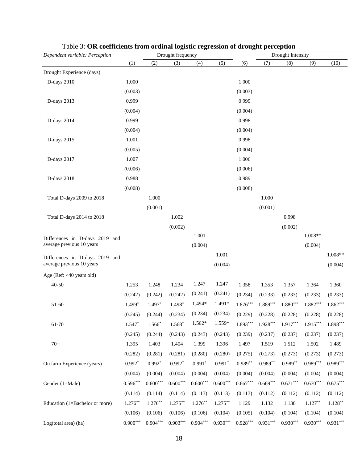| Dependent variable: Perception | Drought frequency |            |            |            |            | Drought Intensity      |            |            |            |            |  |
|--------------------------------|-------------------|------------|------------|------------|------------|------------------------|------------|------------|------------|------------|--|
|                                | (1)               | (2)        | (3)        | (4)        | (5)        | (6)                    | (7)        | (8)        | (9)        | (10)       |  |
| Drought Experience (days)      |                   |            |            |            |            |                        |            |            |            |            |  |
| D-days 2010                    | 1.000             |            |            |            |            | 1.000                  |            |            |            |            |  |
|                                | (0.003)           |            |            |            |            | (0.003)                |            |            |            |            |  |
| D-days 2013                    | 0.999             |            |            |            |            | 0.999                  |            |            |            |            |  |
|                                | (0.004)           |            |            |            |            | (0.004)                |            |            |            |            |  |
| D-days 2014                    | 0.999             |            |            |            |            | 0.998                  |            |            |            |            |  |
|                                | (0.004)           |            |            |            |            | (0.004)                |            |            |            |            |  |
| D-days 2015                    | 1.001             |            |            |            |            | 0.998                  |            |            |            |            |  |
|                                | (0.005)           |            |            |            |            | (0.004)                |            |            |            |            |  |
| D-days 2017                    | 1.007             |            |            |            |            | 1.006                  |            |            |            |            |  |
|                                | (0.006)           |            |            |            |            | (0.006)                |            |            |            |            |  |
| D-days 2018                    | 0.988             |            |            |            |            | 0.989                  |            |            |            |            |  |
|                                | (0.008)           |            |            |            |            | (0.008)                |            |            |            |            |  |
| Total D-days 2009 to 2018      |                   | 1.000      |            |            |            |                        | 1.000      |            |            |            |  |
|                                |                   | (0.001)    |            |            |            |                        | (0.001)    |            |            |            |  |
| Total D-days 2014 to 2018      |                   |            | 1.002      |            |            |                        |            | 0.998      |            |            |  |
|                                |                   |            | (0.002)    |            |            |                        |            | (0.002)    |            |            |  |
| Differences in D-days 2019 and |                   |            |            | 1.001      |            |                        |            |            | $1.008**$  |            |  |
| average previous 10 years      |                   |            |            | (0.004)    |            |                        |            |            | (0.004)    |            |  |
| Differences in D-days 2019 and |                   |            |            |            | 1.001      |                        |            |            |            | 1.008**    |  |
| average previous 10 years      |                   |            |            |            | (0.004)    |                        |            |            |            | (0.004)    |  |
| Age (Ref: <40 years old)       |                   |            |            |            |            |                        |            |            |            |            |  |
| 40-50                          | 1.253             | 1.248      | 1.234      | 1.247      | 1.247      | 1.358                  | 1.353      | 1.357      | 1.364      | 1.360      |  |
|                                | (0.242)           | (0.242)    | (0.242)    | (0.241)    | (0.241)    | (0.234)                | (0.233)    | (0.233)    | (0.233)    | (0.233)    |  |
| 51-60                          | $1.499*$          | $1.497*$   | 1.498*     | 1.494*     | 1.491*     | $1.876^{\ast\ast\ast}$ | $1.889***$ | $1.880***$ | $1.882***$ | $1.862***$ |  |
|                                | (0.245)           | (0.244)    | (0.234)    | (0.234)    | (0.234)    | (0.229)                | (0.228)    | (0.228)    | (0.228)    | (0.228)    |  |
| 61-70                          | $1.547*$          | $1.566*$   | 1.568*     | $1.562*$   | 1.559*     | $1.893***$             | $1.928***$ | $1.917***$ | $1.915***$ | $1.898***$ |  |
|                                | (0.245)           | (0.244)    | (0.243)    | (0.243)    | (0.243)    | (0.239)                | (0.237)    | (0.237)    | (0.237)    | (0.237)    |  |
| $70+$                          | 1.395             | 1.403      | 1.404      | 1.399      | 1.396      | 1.497                  | 1.519      | 1.512      | 1.502      | 1.489      |  |
|                                | (0.282)           | (0.281)    | (0.281)    | (0.280)    | (0.280)    | (0.275)                | (0.273)    | (0.273)    | (0.273)    | (0.273)    |  |
| On farm Experience (years)     | $0.992*$          | $0.992*$   | $0.992*$   | $0.991*$   | $0.991*$   | $0.989**$              | $0.989**$  | $0.989**$  | $0.989***$ | $0.989***$ |  |
|                                | (0.004)           | (0.004)    | (0.004)    | (0.004)    | (0.004)    | (0.004)                | (0.004)    | (0.004)    | (0.004)    | (0.004)    |  |
| Gender (1=Male)                | $0.596***$        | $0.600***$ | $0.600***$ | $0.600***$ | $0.600***$ | $0.667***$             | $0.669***$ | $0.671***$ | $0.670***$ | $0.675***$ |  |
|                                | (0.114)           | (0.114)    | (0.114)    | (0.113)    | (0.113)    | (0.113)                | (0.112)    | (0.112)    | (0.112)    | (0.112)    |  |
| Education (1=Bachelor or more) | $1.276***$        | $1.276***$ | $1.275***$ | $1.276***$ | $1.275***$ | 1.129                  | 1.132      | 1.130      | $1.127**$  | $1.128***$ |  |
|                                | (0.106)           | (0.106)    | (0.106)    | (0.106)    | (0.104)    | (0.105)                | (0.104)    | (0.104)    | (0.104)    | (0.104)    |  |
| Log(total area) (ha)           | $0.900***$        | $0.904***$ | $0.903***$ | $0.904***$ | $0.930***$ | $0.928^{\ast\ast\ast}$ | $0.931***$ | $0.930***$ | $0.930***$ | $0.931***$ |  |

Table 3: **OR coefficients from ordinal logistic regression of drought perception**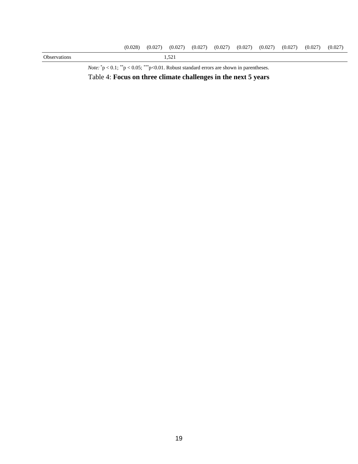

*Note:*  $*p < 0.1$ ;  $*p < 0.05$ ;  $**p < 0.01$ . Robust standard errors are shown in parentheses. Table 4: **Focus on three climate challenges in the next 5 years**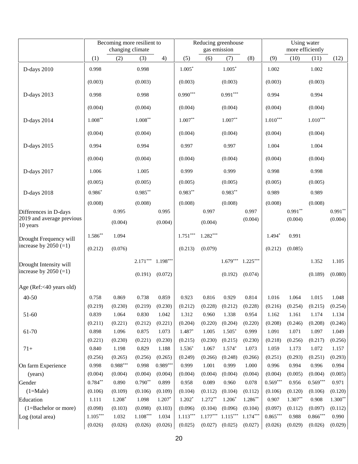|                                       | Becoming more resilient to<br>changing climate |                       |                  |                       | Reducing greenhouse<br>gas emission |                  |                  | Using water<br>more efficiently |                  |                  |                  |                  |
|---------------------------------------|------------------------------------------------|-----------------------|------------------|-----------------------|-------------------------------------|------------------|------------------|---------------------------------|------------------|------------------|------------------|------------------|
|                                       | (1)                                            | (2)                   | (3)              | 4)                    | (5)                                 | (6)              | (7)              | (8)                             | (9)              | (10)             | (11)             | (12)             |
| D-days 2010                           | 0.998                                          |                       | 0.998            |                       | $1.005*$                            |                  | $1.005*$         |                                 | 1.002            |                  | 1.002            |                  |
|                                       | (0.003)                                        |                       | (0.003)          |                       | (0.003)                             |                  | (0.003)          |                                 | (0.003)          |                  | (0.003)          |                  |
| D-days 2013                           | 0.998                                          |                       | 0.998            |                       | $0.990***$                          |                  | $0.991***$       |                                 | 0.994            |                  | 0.994            |                  |
|                                       | (0.004)                                        |                       | (0.004)          |                       | (0.004)                             |                  | (0.004)          |                                 | (0.004)          |                  | (0.004)          |                  |
| D-days 2014                           | $1.008***$                                     |                       | $1.008**$        |                       | $1.007**$                           |                  | $1.007**$        |                                 | $1.010***$       |                  | $1.010***$       |                  |
|                                       | (0.004)                                        |                       | (0.004)          |                       | (0.004)                             |                  | (0.004)          |                                 | (0.004)          |                  | (0.004)          |                  |
| D-days 2015                           | 0.994                                          |                       | 0.994            |                       | 0.997                               |                  | 0.997            |                                 | 1.004            |                  | 1.004            |                  |
|                                       | (0.004)                                        |                       | (0.004)          |                       | (0.004)                             |                  | (0.004)          |                                 | (0.004)          |                  | (0.004)          |                  |
| D-days 2017                           | 1.006                                          |                       | 1.005            |                       | 0.999                               |                  | 0.999            |                                 | 0.998            |                  | 0.998            |                  |
|                                       | (0.005)                                        |                       | (0.005)          |                       | (0.005)                             |                  | (0.005)          |                                 | (0.005)          |                  | (0.005)          |                  |
| D-days 2018                           | $0.986*$                                       |                       | $0.985***$       |                       | $0.983**$                           |                  | $0.983**$        |                                 | 0.989            |                  | 0.989            |                  |
|                                       | (0.008)                                        |                       | (0.008)          |                       | (0.008)                             |                  | (0.008)          |                                 | (0.008)          |                  | (0.008)          |                  |
| Differences in D-days                 |                                                | 0.995                 |                  | 0.995                 |                                     | 0.997            |                  | 0.997                           |                  | $0.991**$        |                  | $0.991**$        |
| 2019 and average previous<br>10 years |                                                | (0.004)               |                  | (0.004)               |                                     | (0.004)          |                  | (0.004)                         |                  | (0.004)          |                  | (0.004)          |
| Drought Frequency will                | $1.586**$                                      | 1.094                 |                  |                       | $1.751***$                          | $1.282***$       |                  |                                 | $1.494*$         | 0.991            |                  |                  |
| increase by $2050 (=1)$               | (0.212)                                        | (0.076)               |                  |                       | (0.213)                             | (0.079)          |                  |                                 | (0.212)          | (0.085)          |                  |                  |
| Drought Intensity will                |                                                |                       | $2.171***$       | $1.198***$            |                                     |                  | $1.679***$       | $1.225***$                      |                  |                  | 1.352            | 1.105            |
| increase by $2050 (=1)$               |                                                |                       | (0.191)          | (0.072)               |                                     |                  | (0.192)          | (0.074)                         |                  |                  | (0.189)          | (0.080)          |
| Age (Ref:<40 years old)               |                                                |                       |                  |                       |                                     |                  |                  |                                 |                  |                  |                  |                  |
| $40 - 50$                             | 0.758                                          | 0.869                 | 0.738            | 0.859                 | 0.923                               | 0.816            | 0.929            | 0.814                           | 1.016            | 1.064            | 1.015            | 1.048            |
|                                       | (0.219)                                        | (0.230)               | (0.219)          | (0.230)               | (0.212)                             | (0.228)          | (0.212)          | (0.228)                         | (0.216)          | (0.254)          | (0.215)          | (0.254)          |
| 51-60                                 | 0.839                                          | 1.064                 | 0.830            | 1.042                 | 1.312                               | 0.960            | 1.338            | 0.954                           | 1.162            | 1.161            | 1.174            | 1.134            |
|                                       | (0.211)                                        | (0.221)               | (0.212)          | (0.221)               | (0.204)                             | (0.220)          | (0.204)          | (0.220)                         | (0.208)          | (0.246)          | (0.208)          | (0.246)          |
| 61-70                                 | 0.898                                          | 1.096                 | 0.875            | 1.073                 | 1.487*                              | 1.005            | $1.505*$         | 0.999                           | 1.091            | 1.071            | 1.097            | 1.049            |
|                                       | (0.221)                                        | (0.230)               | (0.221)          | (0.230)               | (0.215)                             | (0.230)          | (0.215)          | (0.230)                         | (0.218)          | (0.256)          | (0.217)          | (0.256)          |
| $71+$                                 | 0.840                                          | 1.198                 | 0.829            | 1.188                 | $1.536*$                            | 1.067            | $1.574*$         | 1.073                           | 1.059            | 1.173            | 1.072            | 1.157            |
| On farm Experience                    | (0.256)<br>0.998                               | (0.265)<br>$0.988***$ | (0.256)<br>0.998 | (0.265)<br>$0.989***$ | (0.249)<br>0.999                    | (0.266)<br>1.001 | (0.248)<br>0.999 | (0.266)<br>1.000                | (0.251)<br>0.996 | (0.293)<br>0.994 | (0.251)<br>0.996 | (0.293)<br>0.994 |
| (years)                               | (0.004)                                        | (0.004)               | (0.004)          | (0.004)               | (0.004)                             | (0.004)          | (0.004)          | (0.004)                         | (0.004)          | (0.005)          | (0.004)          | (0.005)          |
| Gender                                | $0.784**$                                      | 0.890                 | $0.790**$        | 0.899                 | 0.958                               | 0.089            | 0.960            | 0.078                           | $0.569***$       | 0.956            | $0.569***$       | 0.971            |
| $(1=Male)$                            | (0.106)                                        | (0.109)               | (0.106)          | (0.109)               | (0.104)                             | (0.112)          | (0.104)          | (0.112)                         | (0.106)          | (0.120)          | (0.106)          | (0.120)          |
| Education                             | 1.111                                          | $1.208*$              | 1.098            | $1.207*$              | $1.202*$                            | $1.272**$        | $1.206*$         | $1.286**$                       | 0.907            | $1.307**$        | 0.908            | $1.300**$        |
| (1=Bachelor or more)                  | (0.098)                                        | (0.103)               | (0.098)          | (0.103)               | (0.096)                             | (0.104)          | (0.096)          | (0.104)                         | (0.097)          | (0.112)          | (0.097)          | (0.112)          |
| Log (total area)                      | $1.105^{\ast\ast\ast}$                         | 1.032                 | $1.108***$       | 1.034                 | $1.113***$                          | $1.177***$       | $1.115***$       | $1.174***$                      | $0.865***$       | 0.988            | $0.866***$       | 0.990            |
|                                       | (0.026)                                        | (0.026)               | (0.026)          | (0.026)               | (0.025)                             | (0.027)          | (0.025)          | (0.027)                         | (0.026)          | (0.029)          | (0.026)          | (0.029)          |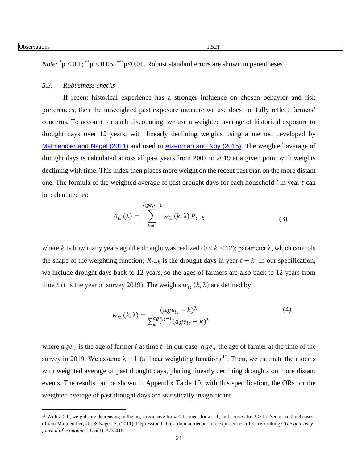*Note:*  $\degree$ p < 0.1;  $\degree$  p < 0.05;  $\degree$  p < 0.01. Robust standard errors are shown in parentheses

## *5.3. Robustness checks*

If recent historical experience has a stronger influence on chosen behavior and risk preferences, then the unweighted past exposure measure we use does not fully reflect farmers' concerns. To account for such discounting, we use a weighted average of historical exposure to drought days over 12 years, with linearly declining weights using a method developed by [Malmendier and Nagel \(2011\)](#page-23-16) and used in [Aizenman and Noy \(2015\)](#page-23-17). The weighted average of drought days is calculated across all past years from 2007 to 2019 at a given point with weights declining with time. This index then places more weight on the recent past than on the more distant one. The formula of the weighted average of past drought days for each household  $i$  in year  $t$  can be calculated as:

$$
A_{it}(\lambda) = \sum_{k=1}^{age_{it}-1} w_{it}(k,\lambda) R_{t-k}
$$
\n(3)

where k is how many years ago the drought was realized  $(0 < k < 12)$ ; parameter  $\lambda$ , which controls the shape of the weighting function;  $R_{t-k}$  is the drought days in year  $t - k$ . In our specification, we include drought days back to 12 years, so the ages of farmers are also back to 12 years from time t (t is the year of survey 2019). The weights  $w_{it}$  (k,  $\lambda$ ) are defined by:

$$
w_{it}(k,\lambda) = \frac{(age_{it} - k)^{\lambda}}{\sum_{k=1}^{age_{it} - 1} (age_{it} - k)^{\lambda}}
$$
(4)

where  $age_{it}$  is the age of farmer *i* at time *t*. In our case,  $age_{it}$  the age of farmer at the time of the survey in 2019. We assume  $\lambda = 1$  (a linear weighting function)<sup>11</sup>. Then, we estimate the models with weighted average of past drought days, placing linearly declining droughts on more distant events. The results can be shown in Appendix Table 10; with this specification, the ORs for the weighted average of past drought days are statistically insignificant.

<sup>&</sup>lt;sup>11</sup> With  $\lambda > 0$ , weights are decreasing in the lag k (concave for  $\lambda < 1$ , linear for  $\lambda = 1$ , and convex for  $\lambda > 1$ ). See more the 3 cases of λ in Malmendier, U., & Nagel, S. (2011). Depression babies: do macroeconomic experiences affect risk taking? *The quarterly journal of economics*, *126*(1), 373-416.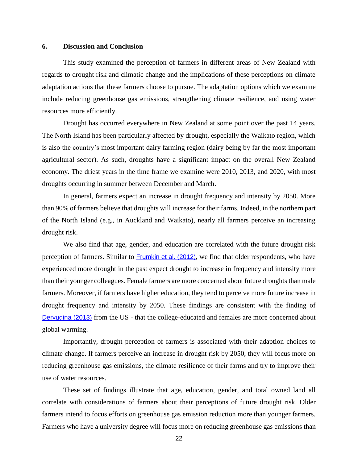### **6. Discussion and Conclusion**

This study examined the perception of farmers in different areas of New Zealand with regards to drought risk and climatic change and the implications of these perceptions on climate adaptation actions that these farmers choose to pursue. The adaptation options which we examine include reducing greenhouse gas emissions, strengthening climate resilience, and using water resources more efficiently.

Drought has occurred everywhere in New Zealand at some point over the past 14 years. The North Island has been particularly affected by drought, especially the Waikato region, which is also the country's most important dairy farming region (dairy being by far the most important agricultural sector). As such, droughts have a significant impact on the overall New Zealand economy. The driest years in the time frame we examine were 2010, 2013, and 2020, with most droughts occurring in summer between December and March.

In general, farmers expect an increase in drought frequency and intensity by 2050. More than 90% of farmers believe that droughts will increase for their farms. Indeed, in the northern part of the North Island (e.g., in Auckland and Waikato), nearly all farmers perceive an increasing drought risk.

We also find that age, gender, and education are correlated with the future drought risk perception of farmers. Similar to [Frumkin et al. \(2012\)](#page-23-18), we find that older respondents, who have experienced more drought in the past expect drought to increase in frequency and intensity more than their younger colleagues. Female farmers are more concerned about future droughts than male farmers. Moreover, if farmers have higher education, they tend to perceive more future increase in drought frequency and intensity by 2050. These findings are consistent with the finding of [Deryugina \(2013\)](#page-23-9) from the US - that the college-educated and females are more concerned about global warming.

Importantly, drought perception of farmers is associated with their adaption choices to climate change. If farmers perceive an increase in drought risk by 2050, they will focus more on reducing greenhouse gas emissions, the climate resilience of their farms and try to improve their use of water resources.

These set of findings illustrate that age, education, gender, and total owned land all correlate with considerations of farmers about their perceptions of future drought risk. Older farmers intend to focus efforts on greenhouse gas emission reduction more than younger farmers. Farmers who have a university degree will focus more on reducing greenhouse gas emissions than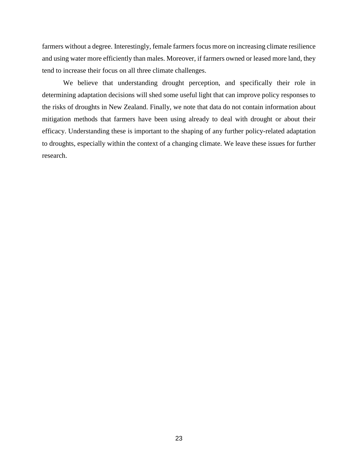farmers without a degree. Interestingly, female farmers focus more on increasing climate resilience and using water more efficiently than males. Moreover, if farmers owned or leased more land, they tend to increase their focus on all three climate challenges.

We believe that understanding drought perception, and specifically their role in determining adaptation decisions will shed some useful light that can improve policy responses to the risks of droughts in New Zealand. Finally, we note that data do not contain information about mitigation methods that farmers have been using already to deal with drought or about their efficacy. Understanding these is important to the shaping of any further policy-related adaptation to droughts, especially within the context of a changing climate. We leave these issues for further research.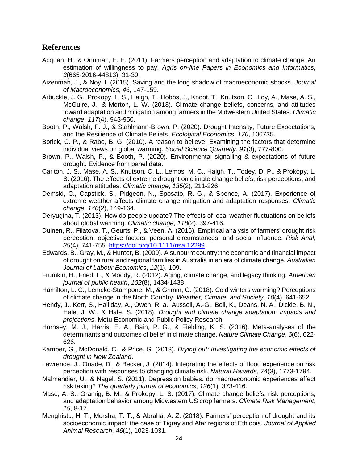# **References**

- <span id="page-23-4"></span>Acquah, H., & Onumah, E. E. (2011). Farmers perception and adaptation to climate change: An estimation of willingness to pay. *Agris on-line Papers in Economics and Informatics*, *3*(665-2016-44813), 31-39.
- <span id="page-23-17"></span>Aizenman, J., & Noy, I. (2015). Saving and the long shadow of macroeconomic shocks. *Journal of Macroeconomics*, *46*, 147-159.
- <span id="page-23-11"></span>Arbuckle, J. G., Prokopy, L. S., Haigh, T., Hobbs, J., Knoot, T., Knutson, C., Loy, A., Mase, A. S., McGuire, J., & Morton, L. W. (2013). Climate change beliefs, concerns, and attitudes toward adaptation and mitigation among farmers in the Midwestern United States. *Climatic change*, *117*(4), 943-950.
- <span id="page-23-15"></span>Booth, P., Walsh, P. J., & Stahlmann-Brown, P. (2020). Drought Intensity, Future Expectations, and the Resilience of Climate Beliefs. *Ecological Economics*, *176*, 106735.
- <span id="page-23-5"></span>Borick, C. P., & Rabe, B. G. (2010). A reason to believe: Examining the factors that determine individual views on global warming. *Social Science Quarterly*, *91*(3), 777-800.
- Brown, P., Walsh, P., & Booth, P. (2020). Environmental signalling & expectations of future drought: Evidence from panel data.
- <span id="page-23-13"></span>Carlton, J. S., Mase, A. S., Knutson, C. L., Lemos, M. C., Haigh, T., Todey, D. P., & Prokopy, L. S. (2016). The effects of extreme drought on climate change beliefs, risk perceptions, and adaptation attitudes. *Climatic change*, *135*(2), 211-226.
- <span id="page-23-10"></span>Demski, C., Capstick, S., Pidgeon, N., Sposato, R. G., & Spence, A. (2017). Experience of extreme weather affects climate change mitigation and adaptation responses. *Climatic change*, *140*(2), 149-164.
- <span id="page-23-9"></span>Deryugina, T. (2013). How do people update? The effects of local weather fluctuations on beliefs about global warming. *Climatic change*, *118*(2), 397-416.
- <span id="page-23-3"></span>Duinen, R., Filatova, T., Geurts, P., & Veen, A. (2015). Empirical analysis of farmers' drought risk perception: objective factors, personal circumstances, and social influence. *Risk Anal*, *35*(4), 741-755.<https://doi.org/10.1111/risa.12299>
- <span id="page-23-1"></span>Edwards, B., Gray, M., & Hunter, B. (2009). A sunburnt country: the economic and financial impact of drought on rural and regional families in Australia in an era of climate change. *Australian Journal of Labour Economics*, *12*(1), 109.
- <span id="page-23-18"></span>Frumkin, H., Fried, L., & Moody, R. (2012). Aging, climate change, and legacy thinking. *American journal of public health*, *102*(8), 1434-1438.
- <span id="page-23-6"></span>Hamilton, L. C., Lemcke-Stampone, M., & Grimm, C. (2018). Cold winters warming? Perceptions of climate change in the North Country. *Weather, Climate, and Society*, *10*(4), 641-652.
- <span id="page-23-0"></span>Hendy, J., Kerr, S., Halliday, A., Owen, R. a., Ausseil, A.-G., Bell, K., Deans, N. A., Dickie, B. N., Hale, J. W., & Hale, S. (2018). *Drought and climate change adaptation: impacts and projections*. Motu Economic and Public Policy Research.
- <span id="page-23-7"></span>Hornsey, M. J., Harris, E. A., Bain, P. G., & Fielding, K. S. (2016). Meta-analyses of the determinants and outcomes of belief in climate change. *Nature Climate Change*, *6*(6), 622- 626.
- <span id="page-23-2"></span>Kamber, G., McDonald, C., & Price, G. (2013). *Drying out: Investigating the economic effects of drought in New Zealand*.
- <span id="page-23-14"></span>Lawrence, J., Quade, D., & Becker, J. (2014). Integrating the effects of flood experience on risk perception with responses to changing climate risk. *Natural Hazards*, *74*(3), 1773-1794.
- <span id="page-23-16"></span>Malmendier, U., & Nagel, S. (2011). Depression babies: do macroeconomic experiences affect risk taking? *The quarterly journal of economics*, *126*(1), 373-416.
- <span id="page-23-8"></span>Mase, A. S., Gramig, B. M., & Prokopy, L. S. (2017). Climate change beliefs, risk perceptions, and adaptation behavior among Midwestern US crop farmers. *Climate Risk Management*, *15*, 8-17.
- <span id="page-23-12"></span>Menghistu, H. T., Mersha, T. T., & Abraha, A. Z. (2018). Farmers' perception of drought and its socioeconomic impact: the case of Tigray and Afar regions of Ethiopia. *Journal of Applied Animal Research*, *46*(1), 1023-1031.